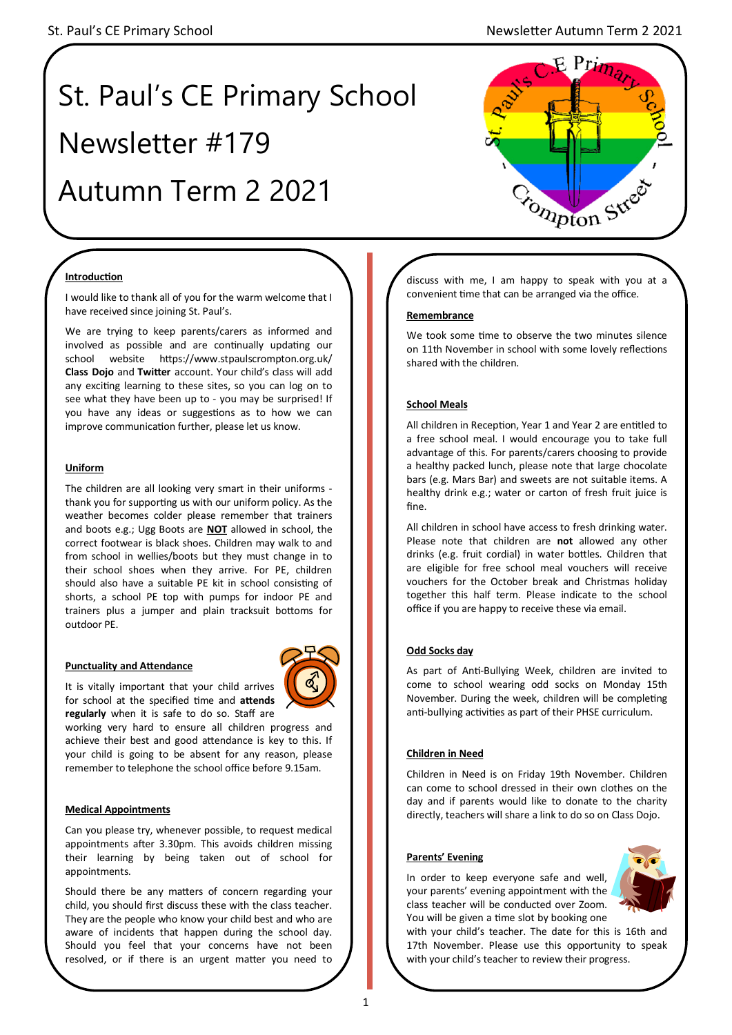# St. Paul's CE Primary School Newsletter #179 Autumn Term 2 2021



## **Introduction**

I would like to thank all of you for the warm welcome that I have received since joining St. Paul's.

We are trying to keep parents/carers as informed and involved as possible and are continually updating our school website https://www.stpaulscrompton.org.uk/ **Class Dojo** and **Twitter** account. Your child's class will add any exciting learning to these sites, so you can log on to see what they have been up to - you may be surprised! If you have any ideas or suggestions as to how we can improve communication further, please let us know.

### **Uniform**

The children are all looking very smart in their uniforms thank you for supporting us with our uniform policy. As the weather becomes colder please remember that trainers and boots e.g.; Ugg Boots are **NOT** allowed in school, the correct footwear is black shoes. Children may walk to and from school in wellies/boots but they must change in to their school shoes when they arrive. For PE, children should also have a suitable PE kit in school consisting of shorts, a school PE top with pumps for indoor PE and trainers plus a jumper and plain tracksuit bottoms for outdoor PE.

### **Punctuality and Attendance**

It is vitally important that your child arrives for school at the specified time and **attends regularly** when it is safe to do so. Staff are

working very hard to ensure all children progress and achieve their best and good attendance is key to this. If your child is going to be absent for any reason, please remember to telephone the school office before 9.15am.

### **Medical Appointments**

Can you please try, whenever possible, to request medical appointments after 3.30pm. This avoids children missing their learning by being taken out of school for appointments.

Should there be any matters of concern regarding your child, you should first discuss these with the class teacher. They are the people who know your child best and who are aware of incidents that happen during the school day. Should you feel that your concerns have not been resolved, or if there is an urgent matter you need to

discuss with me, I am happy to speak with you at a convenient time that can be arranged via the office.

### **Remembrance**

We took some time to observe the two minutes silence on 11th November in school with some lovely reflections shared with the children.

## **School Meals**

All children in Reception, Year 1 and Year 2 are entitled to a free school meal. I would encourage you to take full advantage of this. For parents/carers choosing to provide a healthy packed lunch, please note that large chocolate bars (e.g. Mars Bar) and sweets are not suitable items. A healthy drink e.g.; water or carton of fresh fruit juice is fine.

All children in school have access to fresh drinking water. Please note that children are **not** allowed any other drinks (e.g. fruit cordial) in water bottles. Children that are eligible for free school meal vouchers will receive vouchers for the October break and Christmas holiday together this half term. Please indicate to the school office if you are happy to receive these via email.

### **Odd Socks day**

As part of Anti-Bullying Week, children are invited to come to school wearing odd socks on Monday 15th November. During the week, children will be completing anti-bullying activities as part of their PHSE curriculum.

## **Children in Need**

Children in Need is on Friday 19th November. Children can come to school dressed in their own clothes on the day and if parents would like to donate to the charity directly, teachers will share a link to do so on Class Dojo.

### **Parents' Evening**

In order to keep everyone safe and well, your parents' evening appointment with the class teacher will be conducted over Zoom. You will be given a time slot by booking one



with your child's teacher. The date for this is 16th and 17th November. Please use this opportunity to speak with your child's teacher to review their progress.